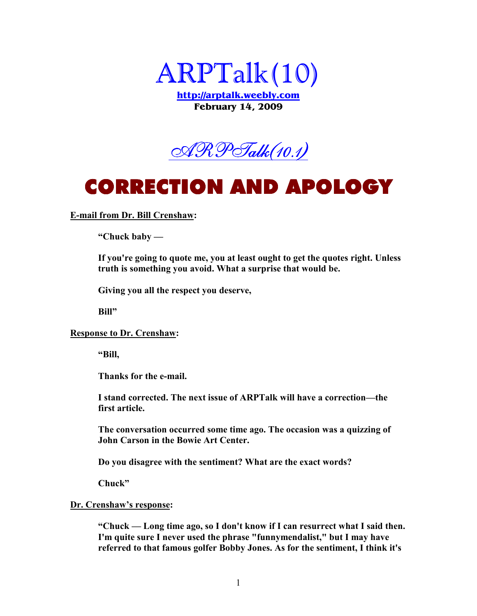

**http://arptalk.weebly.com February 14, 2009** 



### CORRECTION AND APOLOGY CORRECTION APOLOGY

### **E-mail from Dr. Bill Crenshaw:**

**"Chuck baby —** 

**If you're going to quote me, you at least ought to get the quotes right. Unless truth is something you avoid. What a surprise that would be.** 

**Giving you all the respect you deserve,** 

**Bill"** 

#### **Response to Dr. Crenshaw:**

**"Bill,** 

**Thanks for the e-mail.** 

**I stand corrected. The next issue of ARPTalk will have a correction—the first article.** 

**The conversation occurred some time ago. The occasion was a quizzing of John Carson in the Bowie Art Center.** 

**Do you disagree with the sentiment? What are the exact words?** 

**Chuck"** 

#### **Dr. Crenshaw's response:**

**"Chuck — Long time ago, so I don't know if I can resurrect what I said then. I'm quite sure I never used the phrase "funnymendalist," but I may have referred to that famous golfer Bobby Jones. As for the sentiment, I think it's**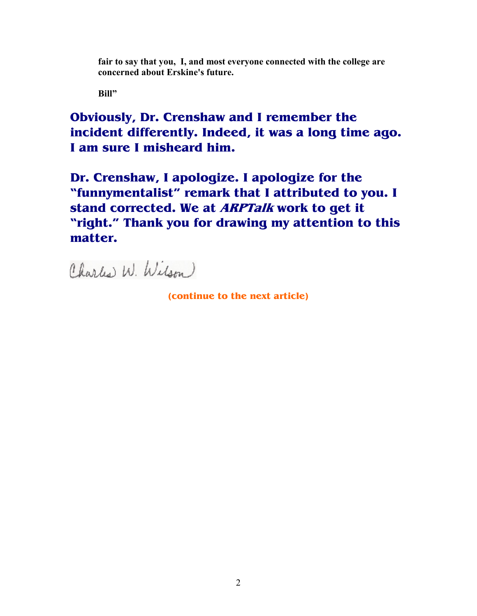**fair to say that you, I, and most everyone connected with the college are concerned about Erskine's future.** 

**Bill"** 

**Obviously, Dr. Crenshaw and I remember the incident differently. Indeed, it was a long time ago. I am sure I misheard him.** 

**Dr. Crenshaw, I apologize. I apologize for the "funnymentalist" remark that I attributed to you. I stand corrected. We at ARPTalk work to get it "right." Thank you for drawing my attention to this matter.**

Charles W. Wilson

**(continue to the next article)**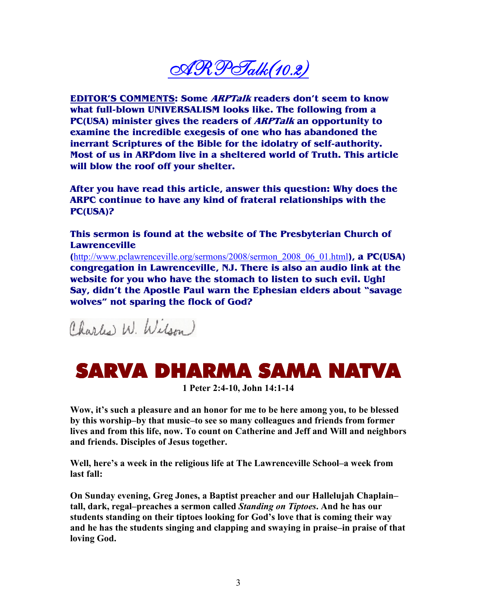$\mathscr{A}\mathscr{R}\mathscr{P}\mathscr{T}$ alk $(10.2)$ 

**EDITOR'S COMMENTS: Some ARPTalk readers don't seem to know what full-blown UNIVERSALISM looks like. The following from a PC(USA) minister gives the readers of ARPTalk an opportunity to examine the incredible exegesis of one who has abandoned the inerrant Scriptures of the Bible for the idolatry of self-authority. Most of us in ARPdom live in a sheltered world of Truth. This article will blow the roof off your shelter.** 

**After you have read this article, answer this question: Why does the ARPC continue to have any kind of frateral relationships with the PC(USA)?** 

**This sermon is found at the website of The Presbyterian Church of Lawrenceville** 

**(**http://www.pclawrenceville.org/sermons/2008/sermon\_2008\_06\_01.html**), a PC(USA) congregation in Lawrenceville, NJ. There is also an audio link at the website for you who have the stomach to listen to such evil. Ugh! Say, didn't the Apostle Paul warn the Ephesian elders about "savage wolves" not sparing the flock of God?** 

Charles W. Wilson

### SARVA DHARMA SAMA NATVA

**1 Peter 2:4-10, John 14:1-14** 

**Wow, it's such a pleasure and an honor for me to be here among you, to be blessed by this worship–by that music–to see so many colleagues and friends from former lives and from this life, now. To count on Catherine and Jeff and Will and neighbors and friends. Disciples of Jesus together.** 

**Well, here's a week in the religious life at The Lawrenceville School–a week from last fall:** 

**On Sunday evening, Greg Jones, a Baptist preacher and our Hallelujah Chaplain– tall, dark, regal–preaches a sermon called** *Standing on Tiptoes***. And he has our students standing on their tiptoes looking for God's love that is coming their way and he has the students singing and clapping and swaying in praise–in praise of that loving God.**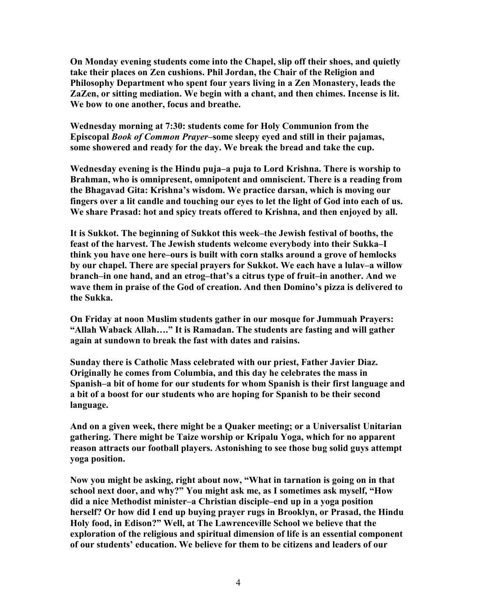**On Monday evening students come into the Chapel, slip off their shoes, and quietly take their places on Zen cushions. Phil Jordan, the Chair of the Religion and Philosophy Department who spent four years living in a Zen Monastery, leads the ZaZen, or sitting mediation. We begin with a chant, and then chimes. Incense is lit. We bow to one another, focus and breathe.** 

**Wednesday morning at 7:30: students come for Holy Communion from the Episcopal** *Book of Common Prayer***–some sleepy eyed and still in their pajamas, some showered and ready for the day. We break the bread and take the cup.** 

**Wednesday evening is the Hindu puja–a puja to Lord Krishna. There is worship to Brahman, who is omnipresent, omnipotent and omniscient. There is a reading from the Bhagavad Gita: Krishna's wisdom. We practice darsan, which is moving our fingers over a lit candle and touching our eyes to let the light of God into each of us. We share Prasad: hot and spicy treats offered to Krishna, and then enjoyed by all.** 

**It is Sukkot. The beginning of Sukkot this week–the Jewish festival of booths, the feast of the harvest. The Jewish students welcome everybody into their Sukka–I think you have one here–ours is built with corn stalks around a grove of hemlocks by our chapel. There are special prayers for Sukkot. We each have a lulav–a willow branch–in one hand, and an etrog–that's a citrus type of fruit–in another. And we wave them in praise of the God of creation. And then Domino's pizza is delivered to the Sukka.** 

**On Friday at noon Muslim students gather in our mosque for Jummuah Prayers: "Allah Waback Allah…." It is Ramadan. The students are fasting and will gather again at sundown to break the fast with dates and raisins.** 

**Sunday there is Catholic Mass celebrated with our priest, Father Javier Diaz. Originally he comes from Columbia, and this day he celebrates the mass in Spanish–a bit of home for our students for whom Spanish is their first language and a bit of a boost for our students who are hoping for Spanish to be their second language.** 

**And on a given week, there might be a Quaker meeting; or a Universalist Unitarian gathering. There might be Taize worship or Kripalu Yoga, which for no apparent reason attracts our football players. Astonishing to see those bug solid guys attempt yoga position.** 

**Gow you might be asking, right about now, "What in tarnation is going on in that school next door, and why?" You might ask me, as I sometimes ask myself, "How did a nice Methodist minister–a Christian disciple–end up in a yoga position herself? Or how did I end up buying prayer rugs in Brooklyn, or Prasad, the Hindu Holy food, in Edison?" Well, at The Lawrenceville School we believe that the exploration of the religious and spiritual dimension of life is an essential component of our students' education. We believe for them to be citizens and leaders of our**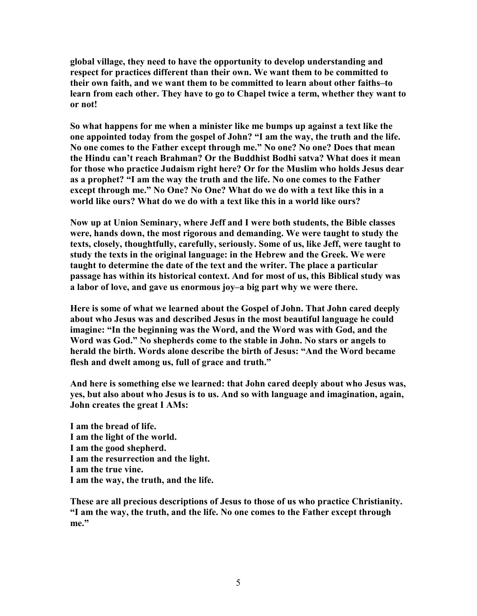**global village, they need to have the opportunity to develop understanding and respect for practices different than their own. We want them to be committed to their own faith, and we want them to be committed to learn about other faiths–to learn from each other. They have to go to Chapel twice a term, whether they want to or not!** 

**So what happens for me when a minister like me bumps up against a text like the one appointed today from the gospel of John? "I am the way, the truth and the life.**  No one comes to the Father except through me." No one? No one? Does that mean **the Hindu can't reach Brahman? Or the Buddhist Bodhi satva? What does it mean for those who practice Judaism right here? Or for the Muslim who holds Jesus dear**  as a prophet? "I am the way the truth and the life. No one comes to the Father except through me." No One? No One? What do we do with a text like this in a **world like ours? What do we do with a text like this in a world like ours?** 

**Gow up at Union Seminary, where Jeff and I were both students, the Bible classes were, hands down, the most rigorous and demanding. We were taught to study the texts, closely, thoughtfully, carefully, seriously. Some of us, like Jeff, were taught to study the texts in the original language: in the Hebrew and the Greek. We were taught to determine the date of the text and the writer. The place a particular passage has within its historical context. And for most of us, this Biblical study was a labor of love, and gave us enormous joy–a big part why we were there.** 

**Here is some of what we learned about the Gospel of John. That John cared deeply about who Jesus was and described Jesus in the most beautiful language he could imagine: "In the beginning was the Word, and the Word was with God, and the**  Word was God." No shepherds come to the stable in John. No stars or angels to **herald the birth. Words alone describe the birth of Jesus: "And the Word became flesh and dwelt among us, full of grace and truth."**

**And here is something else we learned: that John cared deeply about who Jesus was, yes, but also about who Jesus is to us. And so with language and imagination, again, John creates the great I AMs:** 

**I am the bread of life. I am the light of the world. I am the good shepherd. I am the resurrection and the light. I am the true vine. I am the way, the truth, and the life.** 

**These are all precious descriptions of Jesus to those of us who practice Christianity. "I am the way, the truth, and the life. Go one comes to the Father except through me."**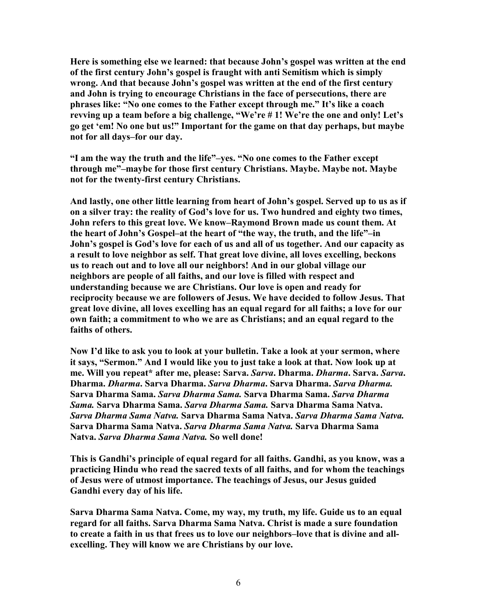**Here is something else we learned: that because John's gospel was written at the end of the first century John's gospel is fraught with anti Semitism which is simply wrong. And that because John's gospel was written at the end of the first century and John is trying to encourage Christians in the face of persecutions, there are phrases like: "Go one comes to the Father except through me." It's like a coach revving up a team before a big challenge, "We're # 1! We're the one and only! Let's go get 'em! Go one but us!" Important for the game on that day perhaps, but maybe not for all days–for our day.** 

**"I am the way the truth and the life"–yes. "Go one comes to the Father except through me"–maybe for those first century Christians. Maybe. Maybe not. Maybe not for the twenty-first century Christians.** 

**And lastly, one other little learning from heart of John's gospel. Served up to us as if on a silver tray: the reality of God's love for us. Two hundred and eighty two times, John refers to this great love. We know–Raymond Brown made us count them. At the heart of John's Gospel–at the heart of "the way, the truth, and the life"–in John's gospel is God's love for each of us and all of us together. And our capacity as a result to love neighbor as self. That great love divine, all loves excelling, beckons us to reach out and to love all our neighbors! And in our global village our neighbors are people of all faiths, and our love is filled with respect and understanding because we are Christians. Our love is open and ready for reciprocity because we are followers of Jesus. We have decided to follow Jesus. That great love divine, all loves excelling has an equal regard for all faiths; a love for our own faith; a commitment to who we are as Christians; and an equal regard to the faiths of others.** 

**Gow I'd like to ask you to look at your bulletin. Take a look at your sermon, where**  it says, "Sermon." And I would like you to just take a look at that. Now look up at **me. Will you repeat\* after me, please: Sarva.** *Sarva***. Dharma.** *Dharma***. Sarva.** *Sarva***. Dharma.** *Dharma***. Sarva Dharma.** *Sarva Dharma***. Sarva Dharma.** *Sarva Dharma.* **Sarva Dharma Sama.** *Sarva Dharma Sama.* **Sarva Dharma Sama.** *Sarva Dharma Sama.* **Sarva Dharma Sama.** *Sarva Dharma Sama.* **Sarva Dharma Sama Gatva.**  *Sarva Dharma Sama Natva.* Sarva Dharma Sama Natva. *Sarva Dharma Sama Natva.* **Sarva Dharma Sama Gatva.** *Sarva Dharma Sama atva.* **Sarva Dharma Sama Natva.** *Sarva Dharma Sama Natva***. So well done!** 

**This is Gandhi's principle of equal regard for all faiths. Gandhi, as you know, was a practicing Hindu who read the sacred texts of all faiths, and for whom the teachings of Jesus were of utmost importance. The teachings of Jesus, our Jesus guided Gandhi every day of his life.** 

Sarva Dharma Sama Natva. Come, my way, my truth, my life. Guide us to an equal regard for all faiths. Sarva Dharma Sama Natva. Christ is made a sure foundation **to create a faith in us that frees us to love our neighbors–love that is divine and allexcelling. They will know we are Christians by our love.**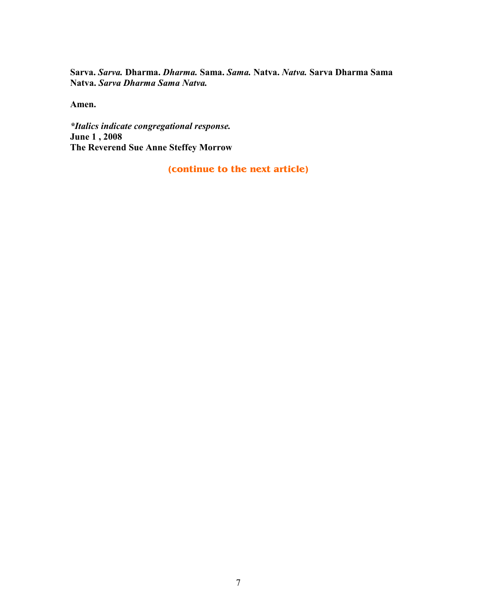**Sarva.** *Sarva.* **Dharma.** *Dharma.* **Sama.** *Sama.* **Gatva.** *atva.* **Sarva Dharma Sama Natva. Sarva Dharma Sama Natva.** 

**Amen.** 

*\*Italics indicate congregational response.* **June 1 , 2008 The Reverend Sue Anne Steffey Morrow** 

**(continue to the next article)**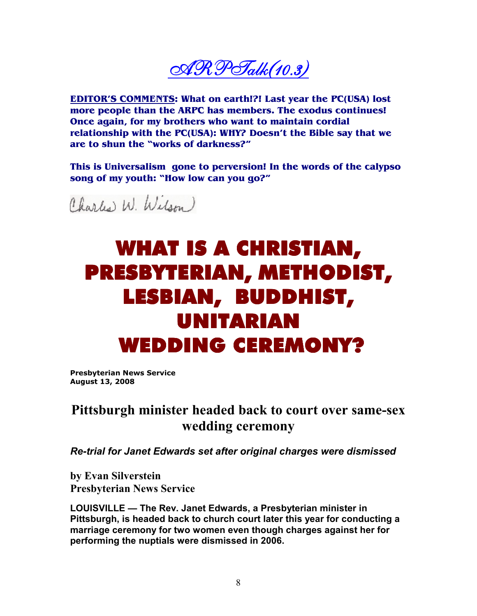$\mathscr{A}\mathscr{R}\mathscr{P}\mathscr{T}$ alk $(10.3)$ 

**EDITOR'S COMMENTS: What on earth!?! Last year the PC(USA) lost more people than the ARPC has members. The exodus continues! Once again, for my brothers who want to maintain cordial relationship with the PC(USA): WHY? Doesn't the Bible say that we are to shun the "works of darkness?"** 

**This is Universalism gone to perversion! In the words of the calypso song of my youth: "How low can you go?"** 

Charles W. Wilson

# WHAT IS A CHRISTIAN, PRESBYTERIAN, METHODIST, LESBIAN, BUDDHIST, UNITARIAN WEDDING CEREMONY?

**Presbyterian News Service August 13, 2008** 

### **Pittsburgh minister headed back to court over same-sex wedding ceremony**

*Re-trial for Janet Edwards set after original charges were dismissed*

**by Evan Silverstein Presbyterian News Service** 

**LOUISVILLE — The Rev. Janet Edwards, a Presbyterian minister in Pittsburgh, is headed back to church court later this year for conducting a marriage ceremony for two women even though charges against her for performing the nuptials were dismissed in 2006.**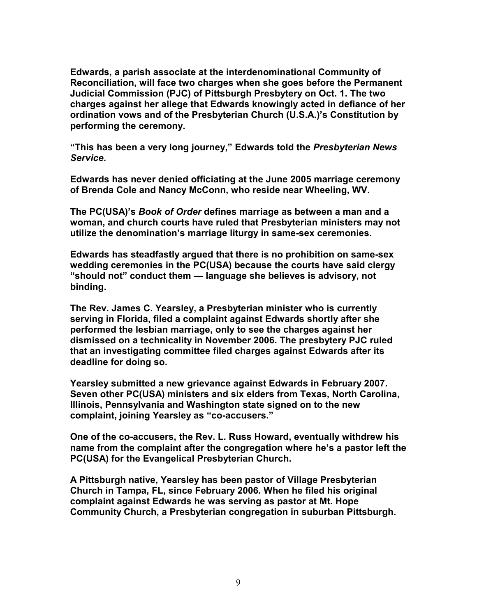**Edwards, a parish associate at the interdenominational Community of Reconciliation, will face two charges when she goes before the Permanent Judicial Commission (PJC) of Pittsburgh Presbytery on Oct. 1. The two charges against her allege that Edwards knowingly acted in defiance of her ordination vows and of the Presbyterian Church (U.S.A.)'s Constitution by performing the ceremony.** 

**"This has been a very long journey," Edwards told the** *Presbyterian News Service***.** 

**Edwards has never denied officiating at the June 2005 marriage ceremony of Brenda Cole and Nancy McConn, who reside near Wheeling, WV.** 

**The PC(USA)'s** *Book of Order* **defines marriage as between a man and a woman, and church courts have ruled that Presbyterian ministers may not utilize the denomination's marriage liturgy in same-sex ceremonies.** 

**Edwards has steadfastly argued that there is no prohibition on same-sex wedding ceremonies in the PC(USA) because the courts have said clergy "should not" conduct them — language she believes is advisory, not binding.** 

**The Rev. James C. Yearsley, a Presbyterian minister who is currently serving in Florida, filed a complaint against Edwards shortly after she performed the lesbian marriage, only to see the charges against her dismissed on a technicality in November 2006. The presbytery PJC ruled that an investigating committee filed charges against Edwards after its deadline for doing so.** 

**Yearsley submitted a new grievance against Edwards in February 2007. Seven other PC(USA) ministers and six elders from Texas, North Carolina, Illinois, Pennsylvania and Washington state signed on to the new complaint, joining Yearsley as "co-accusers."** 

**One of the co-accusers, the Rev. L. Russ Howard, eventually withdrew his name from the complaint after the congregation where he's a pastor left the PC(USA) for the Evangelical Presbyterian Church.** 

**A Pittsburgh native, Yearsley has been pastor of Village Presbyterian Church in Tampa, FL, since February 2006. When he filed his original complaint against Edwards he was serving as pastor at Mt. Hope Community Church, a Presbyterian congregation in suburban Pittsburgh.**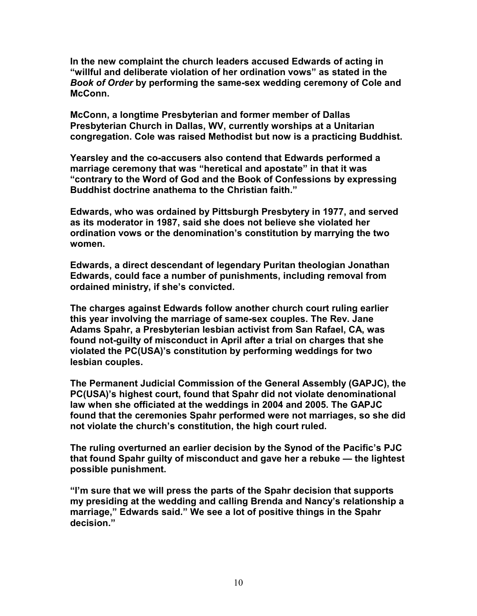**In the new complaint the church leaders accused Edwards of acting in "willful and deliberate violation of her ordination vows" as stated in the**  *Book of Order* **by performing the same-sex wedding ceremony of Cole and McConn.** 

**McConn, a longtime Presbyterian and former member of Dallas Presbyterian Church in Dallas, WV, currently worships at a Unitarian congregation. Cole was raised Methodist but now is a practicing Buddhist.** 

**Yearsley and the co-accusers also contend that Edwards performed a marriage ceremony that was "heretical and apostate" in that it was "contrary to the Word of God and the Book of Confessions by expressing Buddhist doctrine anathema to the Christian faith."**

**Edwards, who was ordained by Pittsburgh Presbytery in 1977, and served as its moderator in 1987, said she does not believe she violated her ordination vows or the denomination's constitution by marrying the two women.** 

**Edwards, a direct descendant of legendary Puritan theologian Jonathan Edwards, could face a number of punishments, including removal from ordained ministry, if she's convicted.** 

**The charges against Edwards follow another church court ruling earlier this year involving the marriage of same-sex couples. The Rev. Jane Adams Spahr, a Presbyterian lesbian activist from San Rafael, CA, was found not-guilty of misconduct in April after a trial on charges that she violated the PC(USA)'s constitution by performing weddings for two lesbian couples.** 

**The Permanent Judicial Commission of the General Assembly (GAPJC), the PC(USA)'s highest court, found that Spahr did not violate denominational law when she officiated at the weddings in 2004 and 2005. The GAPJC found that the ceremonies Spahr performed were not marriages, so she did not violate the church's constitution, the high court ruled.** 

**The ruling overturned an earlier decision by the Synod of the Pacific's PJC that found Spahr guilty of misconduct and gave her a rebuke — the lightest possible punishment.** 

**"I'm sure that we will press the parts of the Spahr decision that supports my presiding at the wedding and calling Brenda and Nancy's relationship a marriage," Edwards said." We see a lot of positive things in the Spahr decision."**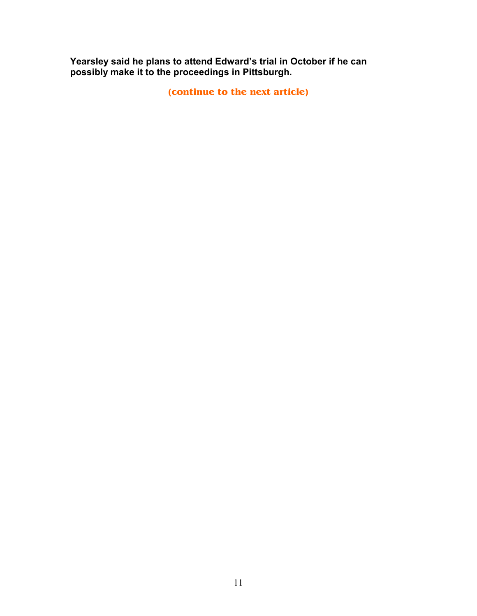**Yearsley said he plans to attend Edward's trial in October if he can possibly make it to the proceedings in Pittsburgh.** 

**(continue to the next article)**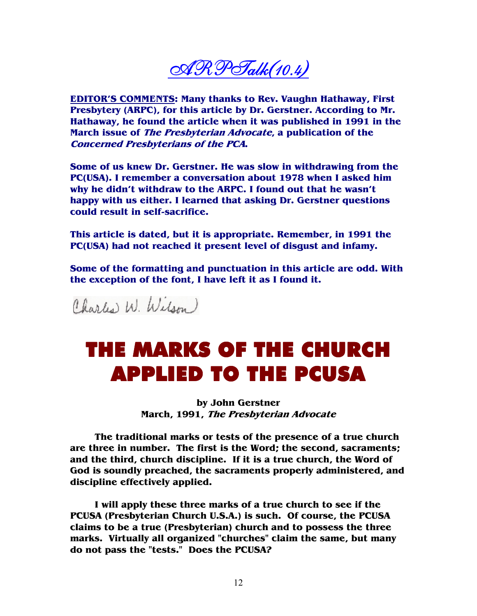$\mathscr{A}\mathscr{R}\mathscr{P}$ Talk $(10.4)$ 

**EDITOR'S COMMENTS: Many thanks to Rev. Vaughn Hathaway, First Presbytery (ARPC), for this article by Dr. Gerstner. According to Mr. Hathaway, he found the article when it was published in 1991 in the March issue of The Presbyterian Advocate, a publication of the Concerned Presbyterians of the PCA.** 

**Some of us knew Dr. Gerstner. He was slow in withdrawing from the PC(USA). I remember a conversation about 1978 when I asked him why he didn't withdraw to the ARPC. I found out that he wasn't happy with us either. I learned that asking Dr. Gerstner questions could result in self-sacrifice.** 

**This article is dated, but it is appropriate. Remember, in 1991 the PC(USA) had not reached it present level of disgust and infamy.** 

**Some of the formatting and punctuation in this article are odd. With the exception of the font, I have left it as I found it.** 

Charles W. Wilson)

## THE MARKS OF THE CHURCH APPLIED TO THE PCUSA

**by John Gerstner March, 1991, The Presbyterian Advocate**

 **The traditional marks or tests of the presence of a true church are three in number. The first is the Word; the second, sacraments; and the third, church discipline. If it is a true church, the Word of God is soundly preached, the sacraments properly administered, and discipline effectively applied.** 

 **I will apply these three marks of a true church to see if the PCUSA (Presbyterian Church U.S.A.) is such. Of course, the PCUSA claims to be a true (Presbyterian) church and to possess the three marks. Virtually all organized "churches" claim the same, but many do not pass the "tests." Does the PCUSA?**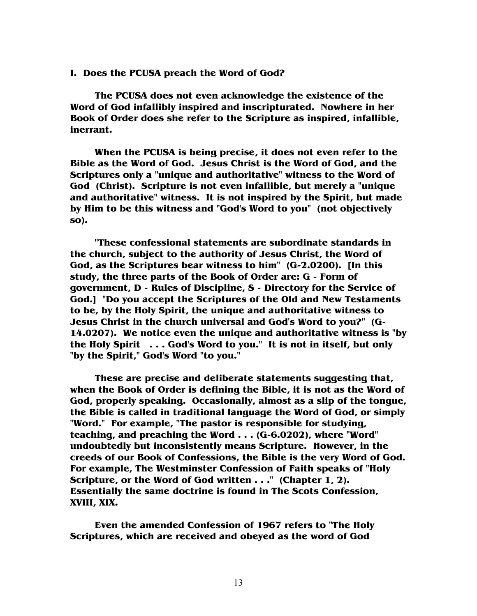**I. Does the PCUSA preach the Word of God?** 

 **The PCUSA does not even acknowledge the existence of the Word of God infallibly inspired and inscripturated. Nowhere in her Book of Order does she refer to the Scripture as inspired, infallible, inerrant.** 

 **When the PCUSA is being precise, it does not even refer to the Bible as the Word of God. Jesus Christ is the Word of God, and the Scriptures only a "unique and authoritative" witness to the Word of God (Christ). Scripture is not even infallible, but merely a "unique and authoritative" witness. It is not inspired by the Spirit, but made by Him to be this witness and "God's Word to you" (not objectively so).** 

 **"These confessional statements are subordinate standards in the church, subject to the authority of Jesus Christ, the Word of God, as the Scriptures bear witness to him" (G-2.0200). [In this study, the three parts of the Book of Order are: G - Form of government, D - Rules of Discipline, S - Directory for the Service of God.] "Do you accept the Scriptures of the Old and New Testaments to be, by the Holy Spirit, the unique and authoritative witness to Jesus Christ in the church universal and God's Word to you?" (G-14.0207). We notice even the unique and authoritative witness is "by the Holy Spirit . . . God's Word to you." It is not in itself, but only "by the Spirit," God's Word "to you."** 

 **These are precise and deliberate statements suggesting that, when the Book of Order is defining the Bible, it is not as the Word of God, properly speaking. Occasionally, almost as a slip of the tongue, the Bible is called in traditional language the Word of God, or simply "Word." For example, "The pastor is responsible for studying, teaching, and preaching the Word . . . (G-6.0202), where "Word" undoubtedly but inconsistently means Scripture. However, in the creeds of our Book of Confessions, the Bible is the very Word of God. For example, The Westminster Confession of Faith speaks of "Holy Scripture, or the Word of God written . . ." (Chapter 1, 2). Essentially the same doctrine is found in The Scots Confession, XVIII, XIX.** 

 **Even the amended Confession of 1967 refers to "The Holy Scriptures, which are received and obeyed as the word of God**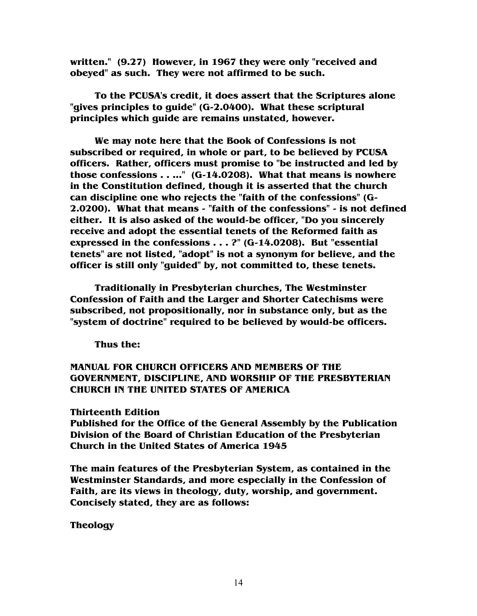**written." (9.27) However, in 1967 they were only "received and obeyed" as such. They were not affirmed to be such.** 

 **To the PCUSA's credit, it does assert that the Scriptures alone "gives principles to guide" (G-2.0400). What these scriptural principles which guide are remains unstated, however.** 

 **We may note here that the Book of Confessions is not subscribed or required, in whole or part, to be believed by PCUSA officers. Rather, officers must promise to "be instructed and led by those confessions . . ..." (G-14.0208). What that means is nowhere in the Constitution defined, though it is asserted that the church can discipline one who rejects the "faith of the confessions" (G-2.0200). What that means - "faith of the confessions" - is not defined either. It is also asked of the would-be officer, "Do you sincerely receive and adopt the essential tenets of the Reformed faith as expressed in the confessions . . . ?" (G-14.0208). But "essential tenets" are not listed, "adopt" is not a synonym for believe, and the officer is still only "guided" by, not committed to, these tenets.** 

 **Traditionally in Presbyterian churches, The Westminster Confession of Faith and the Larger and Shorter Catechisms were subscribed, not propositionally, nor in substance only, but as the "system of doctrine" required to be believed by would-be officers.** 

 **Thus the:** 

### **MANUAL FOR CHURCH OFFICERS AND MEMBERS OF THE GOVERNMENT, DISCIPLINE, AND WORSHIP OF THE PRESBYTERIAN CHURCH IN THE UNITED STATES OF AMERICA**

### **Thirteenth Edition**

**Published for the Office of the General Assembly by the Publication Division of the Board of Christian Education of the Presbyterian Church in the United States of America 1945** 

**The main features of the Presbyterian System, as contained in the Westminster Standards, and more especially in the Confession of Faith, are its views in theology, duty, worship, and government. Concisely stated, they are as follows:** 

### **Theology**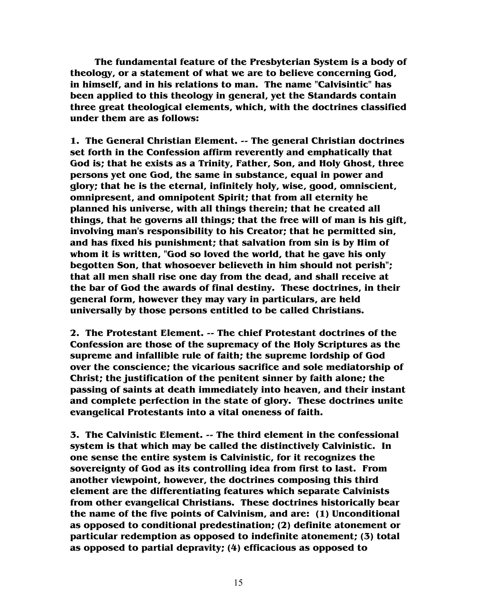**The fundamental feature of the Presbyterian System is a body of theology, or a statement of what we are to believe concerning God, in himself, and in his relations to man. The name "Calvisintic" has been applied to this theology in general, yet the Standards contain three great theological elements, which, with the doctrines classified under them are as follows:** 

**1. The General Christian Element. -- The general Christian doctrines set forth in the Confession affirm reverently and emphatically that God is; that he exists as a Trinity, Father, Son, and Holy Ghost, three persons yet one God, the same in substance, equal in power and glory; that he is the eternal, infinitely holy, wise, good, omniscient, omnipresent, and omnipotent Spirit; that from all eternity he planned his universe, with all things therein; that he created all things, that he governs all things; that the free will of man is his gift, involving man's responsibility to his Creator; that he permitted sin, and has fixed his punishment; that salvation from sin is by Him of whom it is written, "God so loved the world, that he gave his only begotten Son, that whosoever believeth in him should not perish"; that all men shall rise one day from the dead, and shall receive at the bar of God the awards of final destiny. These doctrines, in their general form, however they may vary in particulars, are held universally by those persons entitled to be called Christians.** 

**2. The Protestant Element. -- The chief Protestant doctrines of the Confession are those of the supremacy of the Holy Scriptures as the supreme and infallible rule of faith; the supreme lordship of God over the conscience; the vicarious sacrifice and sole mediatorship of Christ; the justification of the penitent sinner by faith alone; the passing of saints at death immediately into heaven, and their instant and complete perfection in the state of glory. These doctrines unite evangelical Protestants into a vital oneness of faith.** 

**3. The Calvinistic Element. -- The third element in the confessional system is that which may be called the distinctively Calvinistic. In one sense the entire system is Calvinistic, for it recognizes the sovereignty of God as its controlling idea from first to last. From another viewpoint, however, the doctrines composing this third element are the differentiating features which separate Calvinists from other evangelical Christians. These doctrines historically bear the name of the five points of Calvinism, and are: (1) Unconditional as opposed to conditional predestination; (2) definite atonement or particular redemption as opposed to indefinite atonement; (3) total as opposed to partial depravity; (4) efficacious as opposed to**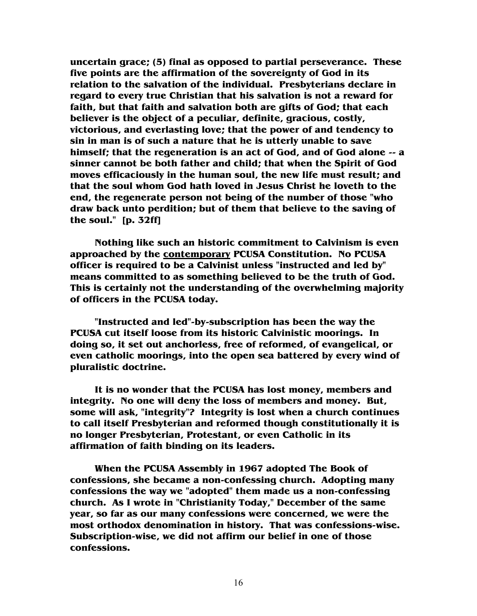**uncertain grace; (5) final as opposed to partial perseverance. These five points are the affirmation of the sovereignty of God in its relation to the salvation of the individual. Presbyterians declare in regard to every true Christian that his salvation is not a reward for faith, but that faith and salvation both are gifts of God; that each believer is the object of a peculiar, definite, gracious, costly, victorious, and everlasting love; that the power of and tendency to sin in man is of such a nature that he is utterly unable to save himself; that the regeneration is an act of God, and of God alone -- a sinner cannot be both father and child; that when the Spirit of God moves efficaciously in the human soul, the new life must result; and that the soul whom God hath loved in Jesus Christ he loveth to the end, the regenerate person not being of the number of those "who draw back unto perdition; but of them that believe to the saving of the soul." [p. 32ff]** 

 **Nothing like such an historic commitment to Calvinism is even approached by the contemporary PCUSA Constitution. No PCUSA officer is required to be a Calvinist unless "instructed and led by" means committed to as something believed to be the truth of God. This is certainly not the understanding of the overwhelming majority of officers in the PCUSA today.** 

 **"Instructed and led"-by-subscription has been the way the PCUSA cut itself loose from its historic Calvinistic moorings. In doing so, it set out anchorless, free of reformed, of evangelical, or even catholic moorings, into the open sea battered by every wind of pluralistic doctrine.** 

 **It is no wonder that the PCUSA has lost money, members and integrity. No one will deny the loss of members and money. But, some will ask, "integrity"? Integrity is lost when a church continues to call itself Presbyterian and reformed though constitutionally it is no longer Presbyterian, Protestant, or even Catholic in its affirmation of faith binding on its leaders.** 

 **When the PCUSA Assembly in 1967 adopted The Book of confessions, she became a non-confessing church. Adopting many confessions the way we "adopted" them made us a non-confessing church. As I wrote in "Christianity Today," December of the same year, so far as our many confessions were concerned, we were the most orthodox denomination in history. That was confessions-wise. Subscription-wise, we did not affirm our belief in one of those confessions.**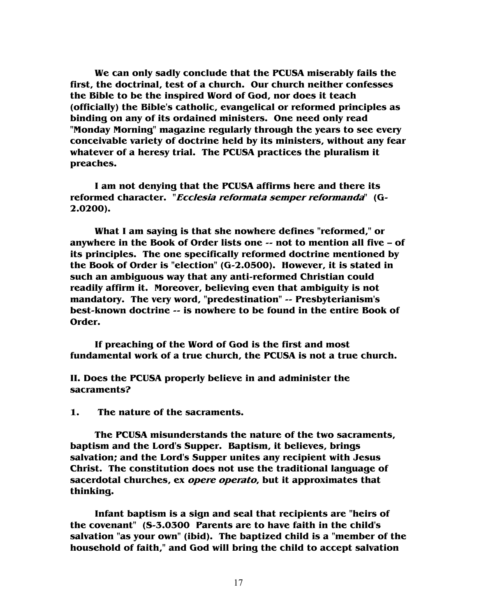**We can only sadly conclude that the PCUSA miserably fails the first, the doctrinal, test of a church. Our church neither confesses the Bible to be the inspired Word of God, nor does it teach (officially) the Bible's catholic, evangelical or reformed principles as binding on any of its ordained ministers. One need only read "Monday Morning" magazine regularly through the years to see every conceivable variety of doctrine held by its ministers, without any fear whatever of a heresy trial. The PCUSA practices the pluralism it preaches.** 

 **I am not denying that the PCUSA affirms here and there its reformed character. "Ecclesia reformata semper reformanda" (G-2.0200).** 

 **What I am saying is that she nowhere defines "reformed," or anywhere in the Book of Order lists one -- not to mention all five – of its principles. The one specifically reformed doctrine mentioned by the Book of Order is "election" (G-2.0500). However, it is stated in such an ambiguous way that any anti-reformed Christian could readily affirm it. Moreover, believing even that ambiguity is not mandatory. The very word, "predestination" -- Presbyterianism's best-known doctrine -- is nowhere to be found in the entire Book of Order.** 

 **If preaching of the Word of God is the first and most fundamental work of a true church, the PCUSA is not a true church.** 

**II. Does the PCUSA properly believe in and administer the sacraments?** 

**1. The nature of the sacraments.** 

 **The PCUSA misunderstands the nature of the two sacraments, baptism and the Lord's Supper. Baptism, it believes, brings salvation; and the Lord's Supper unites any recipient with Jesus Christ. The constitution does not use the traditional language of sacerdotal churches, ex opere operato, but it approximates that thinking.** 

 **Infant baptism is a sign and seal that recipients are "heirs of the covenant" (S-3.0300 Parents are to have faith in the child's salvation "as your own" (ibid). The baptized child is a "member of the household of faith," and God will bring the child to accept salvation**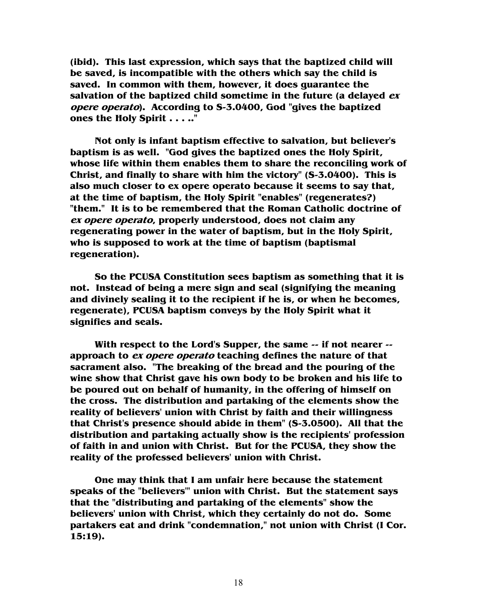**(ibid). This last expression, which says that the baptized child will be saved, is incompatible with the others which say the child is saved. In common with them, however, it does guarantee the salvation of the baptized child sometime in the future (a delayed ex opere operato). According to S-3.0400, God "gives the baptized ones the Holy Spirit . . . .."** 

 **Not only is infant baptism effective to salvation, but believer's baptism is as well. "God gives the baptized ones the Holy Spirit, whose life within them enables them to share the reconciling work of Christ, and finally to share with him the victory" (S-3.0400). This is also much closer to ex opere operato because it seems to say that, at the time of baptism, the Holy Spirit "enables" (regenerates?) "them." It is to be remembered that the Roman Catholic doctrine of ex opere operato, properly understood, does not claim any regenerating power in the water of baptism, but in the Holy Spirit, who is supposed to work at the time of baptism (baptismal regeneration).** 

 **So the PCUSA Constitution sees baptism as something that it is not. Instead of being a mere sign and seal (signifying the meaning and divinely sealing it to the recipient if he is, or when he becomes, regenerate), PCUSA baptism conveys by the Holy Spirit what it signifies and seals.** 

 **With respect to the Lord's Supper, the same -- if not nearer - approach to ex opere operato teaching defines the nature of that sacrament also. "The breaking of the bread and the pouring of the wine show that Christ gave his own body to be broken and his life to be poured out on behalf of humanity, in the offering of himself on the cross. The distribution and partaking of the elements show the reality of believers' union with Christ by faith and their willingness that Christ's presence should abide in them" (S-3.0500). All that the distribution and partaking actually show is the recipients' profession of faith in and union with Christ. But for the PCUSA, they show the reality of the professed believers' union with Christ.** 

 **One may think that I am unfair here because the statement speaks of the "believers'" union with Christ. But the statement says that the "distributing and partaking of the elements" show the believers' union with Christ, which they certainly do not do. Some partakers eat and drink "condemnation," not union with Christ (I Cor. 15:19).**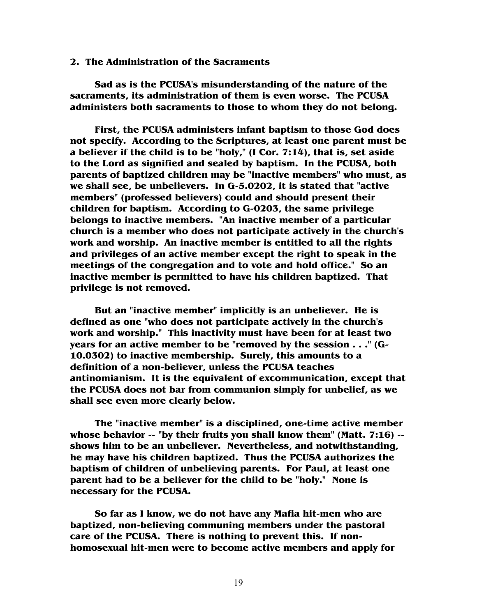#### **2. The Administration of the Sacraments**

 **Sad as is the PCUSA's misunderstanding of the nature of the sacraments, its administration of them is even worse. The PCUSA administers both sacraments to those to whom they do not belong.** 

 **First, the PCUSA administers infant baptism to those God does not specify. According to the Scriptures, at least one parent must be a believer if the child is to be "holy," (I Cor. 7:14), that is, set aside to the Lord as signified and sealed by baptism. In the PCUSA, both parents of baptized children may be "inactive members" who must, as we shall see, be unbelievers. In G-5.0202, it is stated that "active members" (professed believers) could and should present their children for baptism. According to G-0203, the same privilege belongs to inactive members. "An inactive member of a particular church is a member who does not participate actively in the church's work and worship. An inactive member is entitled to all the rights and privileges of an active member except the right to speak in the meetings of the congregation and to vote and hold office." So an inactive member is permitted to have his children baptized. That privilege is not removed.** 

 **But an "inactive member" implicitly is an unbeliever. He is defined as one "who does not participate actively in the church's work and worship." This inactivity must have been for at least two years for an active member to be "removed by the session . . ." (G-10.0302) to inactive membership. Surely, this amounts to a definition of a non-believer, unless the PCUSA teaches antinomianism. It is the equivalent of excommunication, except that the PCUSA does not bar from communion simply for unbelief, as we shall see even more clearly below.** 

 **The "inactive member" is a disciplined, one-time active member whose behavior -- "by their fruits you shall know them" (Matt. 7:16) - shows him to be an unbeliever. Nevertheless, and notwithstanding, he may have his children baptized. Thus the PCUSA authorizes the baptism of children of unbelieving parents. For Paul, at least one parent had to be a believer for the child to be "holy." None is necessary for the PCUSA.** 

 **So far as I know, we do not have any Mafia hit-men who are baptized, non-believing communing members under the pastoral care of the PCUSA. There is nothing to prevent this. If nonhomosexual hit-men were to become active members and apply for**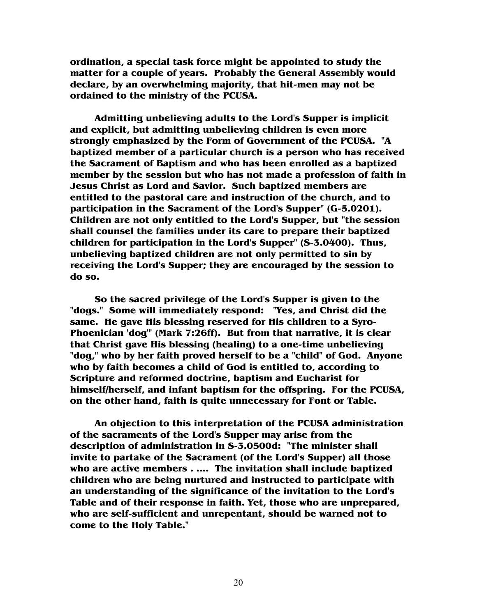**ordination, a special task force might be appointed to study the matter for a couple of years. Probably the General Assembly would declare, by an overwhelming majority, that hit-men may not be ordained to the ministry of the PCUSA.** 

 **Admitting unbelieving adults to the Lord's Supper is implicit and explicit, but admitting unbelieving children is even more strongly emphasized by the Form of Government of the PCUSA. "A baptized member of a particular church is a person who has received the Sacrament of Baptism and who has been enrolled as a baptized member by the session but who has not made a profession of faith in Jesus Christ as Lord and Savior. Such baptized members are entitled to the pastoral care and instruction of the church, and to participation in the Sacrament of the Lord's Supper" (G-5.0201). Children are not only entitled to the Lord's Supper, but "the session shall counsel the families under its care to prepare their baptized children for participation in the Lord's Supper" (S-3.0400). Thus, unbelieving baptized children are not only permitted to sin by receiving the Lord's Supper; they are encouraged by the session to do so.** 

 **So the sacred privilege of the Lord's Supper is given to the "dogs." Some will immediately respond: "Yes, and Christ did the same. He gave His blessing reserved for His children to a Syro-Phoenician 'dog'" (Mark 7:26ff). But from that narrative, it is clear that Christ gave His blessing (healing) to a one-time unbelieving "dog," who by her faith proved herself to be a "child" of God. Anyone who by faith becomes a child of God is entitled to, according to Scripture and reformed doctrine, baptism and Eucharist for himself/herself, and infant baptism for the offspring. For the PCUSA, on the other hand, faith is quite unnecessary for Font or Table.** 

 **An objection to this interpretation of the PCUSA administration of the sacraments of the Lord's Supper may arise from the description of administration in S-3.0500d: "The minister shall invite to partake of the Sacrament (of the Lord's Supper) all those who are active members . .... The invitation shall include baptized children who are being nurtured and instructed to participate with an understanding of the significance of the invitation to the Lord's Table and of their response in faith. Yet, those who are unprepared, who are self-sufficient and unrepentant, should be warned not to come to the Holy Table."**